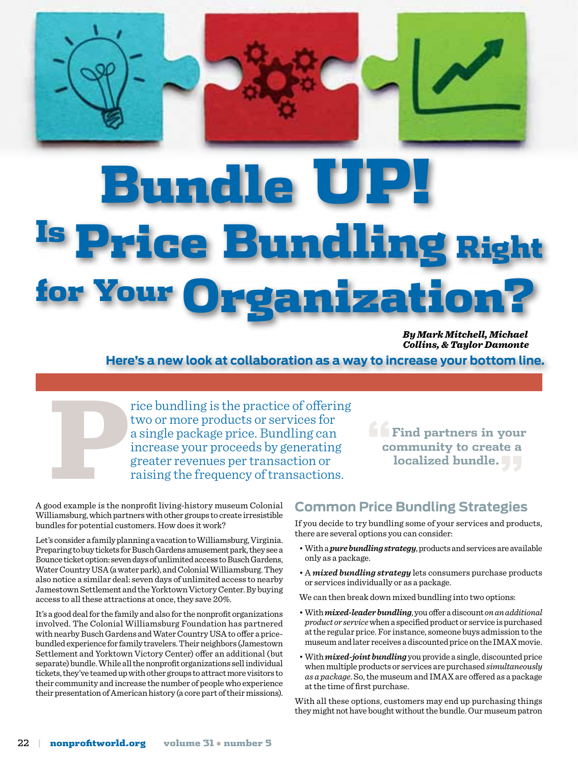Bundle e Bundlin for Your Organizatio

> *By Mark Mitchell, Michael Collins, & Taylor Damonte*

**"Find partners in your community to create a localized bundle."**

**Here's a new look at collaboration as a way to increase your bottom line.**

rice bundling is the practice of offering<br>two or more products or services for<br>a single package price. Bundling can<br>increase your proceeds by generating<br>greater revenues per transaction or<br>raising the frequency of transact two or more products or services for a single package price. Bundling can increase your proceeds by generating greater revenues per transaction or raising the frequency of transactions.

A good example is the nonprofit living-history museum Colonial Williamsburg, which partners with other groups to create irresistible bundles for potential customers. How does it work?

Let's consider a family planning a vacation to Williamsburg, Virginia. Preparing to buy tickets for Busch Gardens amusement park, they see a Bounce ticket option: seven days of unlimited access to Busch Gardens, Water Country USA (a water park), and Colonial Williamsburg. They also notice a similar deal: seven days of unlimited access to nearby Jamestown Settlement and the Yorktown Victory Center. By buying access to all these attractions at once, they save 20%.

It's a good deal for the family and also for the nonprofit organizations involved. The Colonial Williamsburg Foundation has partnered with nearby Busch Gardens and Water Country USA to offer a pricebundled experience for family travelers. Their neighbors (Jamestown Settlement and Yorktown Victory Center) offer an additional (but separate) bundle. While all the nonprofit organizations sell individual tickets, they've teamed up with other groups to attract more visitors to their community and increase the number of people who experience their presentation of American history (a core part of their missions).

## **Common Price Bundling Strategies**

If you decide to try bundling some of your services and products, there are several options you can consider:

- With a *pure bundling strategy*, products and services are available only as a package.
- A *mixed bundling strategy* lets consumers purchase products or services individually or as a package.

We can then break down mixed bundling into two options:

- With *mixed-leader bundling*, you offer a discount *on an additional product or service* when a specified product or service is purchased at the regular price. For instance, someone buys admission to the museum and later receives a discounted price on the IMAX movie.
- With *mixed-joint bundling* you provide a single, discounted price when multiple products or services are purchased *simultaneously as a package*. So, the museum and IMAX are offered as a package at the time of first purchase.

With all these options, customers may end up purchasing things they might not have bought without the bundle. Our museum patron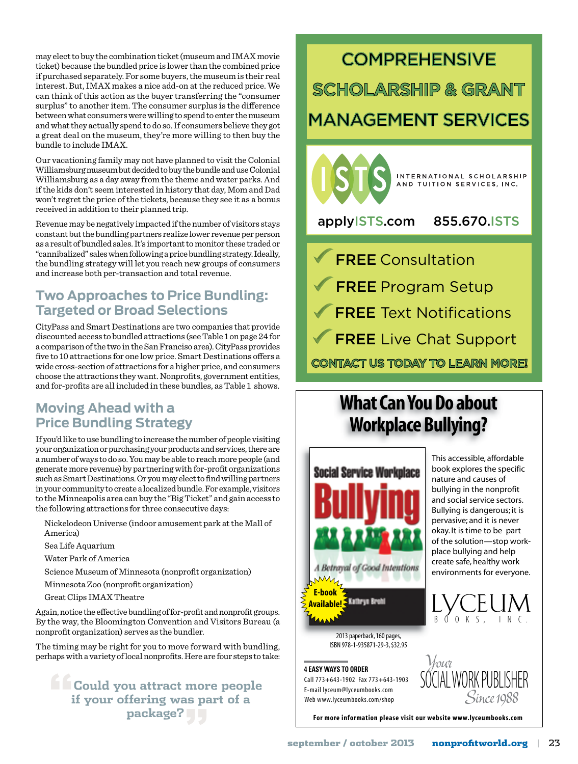may elect to buy the combination ticket (museum and IMAX movie ticket) because the bundled price is lower than the combined price if purchased separately. For some buyers, the museum is their real interest. But, IMAX makes a nice add-on at the reduced price. We can think of this action as the buyer transferring the "consumer surplus" to another item. The consumer surplus is the difference between what consumers were willing to spend to enter the museum and what they actually spend to do so. If consumers believe they got a great deal on the museum, they're more willing to then buy the bundle to include IMAX.

Our vacationing family may not have planned to visit the Colonial Williamsburg museum but decided to buy the bundle and use Colonial Williamsburg as a day away from the theme and water parks. And if the kids don't seem interested in history that day, Mom and Dad won't regret the price of the tickets, because they see it as a bonus received in addition to their planned trip.

Revenue may be negatively impacted if the number of visitors stays constant but the bundling partners realize lower revenue per person as a result of bundled sales. It's important to monitor these traded or "cannibalized" sales when following a price bundling strategy. Ideally, the bundling strategy will let you reach new groups of consumers and increase both per-transaction and total revenue.

# **Two Approaches to Price Bundling: Targeted or Broad Selections**

CityPass and Smart Destinations are two companies that provide discounted access to bundled attractions (see Table 1 on page 24 for a comparison of the two in the San Franciso area). CityPass provides five to 10 attractions for one low price. Smart Destinations offers a wide cross-section of attractions for a higher price, and consumers choose the attractions they want. Nonprofits, government entities, and for-profits are all included in these bundles, as Table 1 shows.

## **Moving Ahead with a Price Bundling Strategy**

If you'd like to use bundling to increase the number of people visiting your organization or purchasing your products and services, there are a number of ways to do so. You may be able to reach more people (and generate more revenue) by partnering with for-profit organizations such as Smart Destinations. Or you may elect to find willing partners in your community to create a localized bundle. For example, visitors to the Minneapolis area can buy the "Big Ticket" and gain access to the following attractions for three consecutive days:

- Nickelodeon Universe (indoor amusement park at the Mall of America)
- Sea Life Aquarium
- Water Park of America
- Science Museum of Minnesota (nonprofit organization)
- Minnesota Zoo (nonprofit organization)
- Great Clips IMAX Theatre

Again, notice the effective bundling of for-profit and nonprofit groups. By the way, the Bloomington Convention and Visitors Bureau (a nonprofit organization) serves as the bundler.

The timing may be right for you to move forward with bundling, perhaps with a variety of local nonprofits. Here are four steps to take:

**"Could you attract more people if your offering was part of a package?"**

# **COMPREHENSIVE SCHOLARSHIP & GRANT**

# MANAGEMENT SERVICES



applyISTS.com 855.670.ISTS

**FREE** Program Setup FREE Text Notifications FREE Live Chat Support FREE Consultation **CONTACT US TODAY TO LEARN MORE!** 

# What Can You Do about **Workplace Bullying?**



2013 paperback, 160 pages, ISBN 978-1-935871-29-3,\$32.95

Call 773+643-1902 Fax 773+643-1903 E-mail lyceum@lyceumbooks.com Web www.lyceumbooks.com/shop

This accessible, affordable book explores the specific nature and causes of bullying in the nonprofit and social service sectors. Bullying is dangerous; it is pervasive; and it is never okay. It is time to be part of the solution—stop workplace bullying and help create safe, healthy work environments for everyone.





For more information please visit our website www.lyceumbooks.com